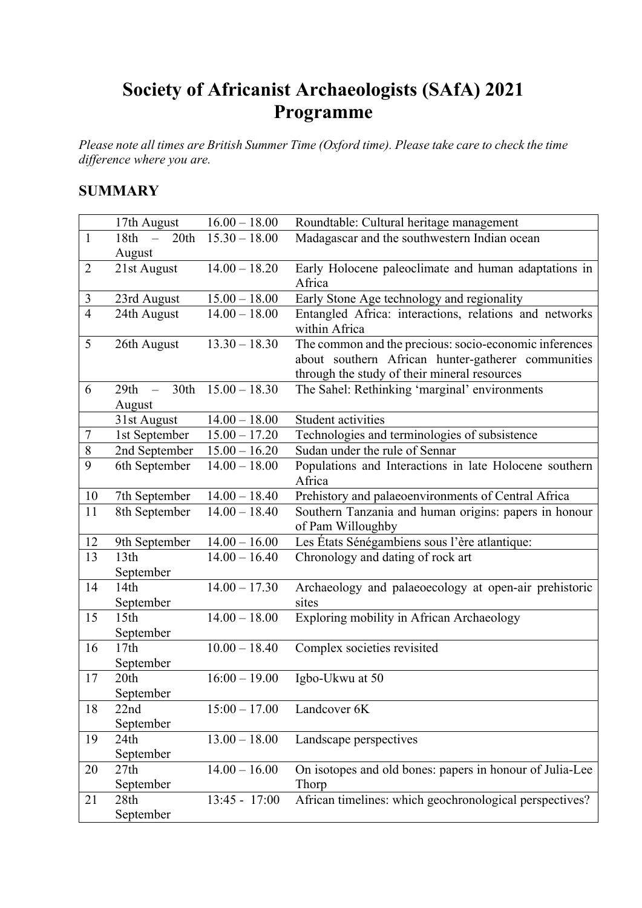# **Society of Africanist Archaeologists (SAfA) 2021 Programme**

*Please note all times are British Summer Time (Oxford time). Please take care to check the time difference where you are.*

# **SUMMARY**

|                | 17th August                   | $16.00 - 18.00$ | Roundtable: Cultural heritage management                                   |
|----------------|-------------------------------|-----------------|----------------------------------------------------------------------------|
| $\mathbf{1}$   | 18th<br>20th<br>$\frac{1}{2}$ | $15.30 - 18.00$ | Madagascar and the southwestern Indian ocean                               |
|                | August                        |                 |                                                                            |
| $\overline{2}$ | 21st August                   | $14.00 - 18.20$ | Early Holocene paleoclimate and human adaptations in<br>Africa             |
| 3              | 23rd August                   | $15.00 - 18.00$ | Early Stone Age technology and regionality                                 |
| $\overline{4}$ | 24th August                   | $14.00 - 18.00$ | Entangled Africa: interactions, relations and networks                     |
|                |                               |                 | within Africa                                                              |
| 5              | 26th August                   | $13.30 - 18.30$ | The common and the precious: socio-economic inferences                     |
|                |                               |                 | about southern African hunter-gatherer communities                         |
|                |                               |                 | through the study of their mineral resources                               |
| 6              | 30th<br>29th                  | $15.00 - 18.30$ | The Sahel: Rethinking 'marginal' environments                              |
|                | August                        |                 |                                                                            |
|                | 31st August                   | $14.00 - 18.00$ | Student activities                                                         |
| $\overline{7}$ | 1st September                 | $15.00 - 17.20$ | Technologies and terminologies of subsistence                              |
| $8\,$          | 2nd September                 | $15.00 - 16.20$ | Sudan under the rule of Sennar                                             |
| 9              | 6th September                 | $14.00 - 18.00$ | Populations and Interactions in late Holocene southern                     |
|                |                               |                 | Africa                                                                     |
| 10             | 7th September                 | $14.00 - 18.40$ | Prehistory and palaeoenvironments of Central Africa                        |
| 11             | 8th September                 | $14.00 - 18.40$ | Southern Tanzania and human origins: papers in honour<br>of Pam Willoughby |
| 12             | 9th September                 | $14.00 - 16.00$ | Les États Sénégambiens sous l'ère atlantique:                              |
| 13             | 13th                          | $14.00 - 16.40$ | Chronology and dating of rock art                                          |
|                | September                     |                 |                                                                            |
| 14             | 14th                          | $14.00 - 17.30$ | Archaeology and palaeoecology at open-air prehistoric                      |
|                | September                     |                 | sites                                                                      |
| 15             | 15 <sup>th</sup>              | $14.00 - 18.00$ | Exploring mobility in African Archaeology                                  |
|                | September                     |                 |                                                                            |
| 16             | 17th                          | $10.00 - 18.40$ | Complex societies revisited                                                |
|                | September                     |                 |                                                                            |
| 17             | 20th                          | $16:00 - 19.00$ | Igbo-Ukwu at 50                                                            |
|                | September                     |                 |                                                                            |
| 18             | 22nd                          | $15:00 - 17.00$ | Landcover 6K                                                               |
|                | September                     |                 |                                                                            |
| 19             | 24th                          | $13.00 - 18.00$ | Landscape perspectives                                                     |
|                | September                     |                 |                                                                            |
| 20             | 27th                          | $14.00 - 16.00$ | On isotopes and old bones: papers in honour of Julia-Lee                   |
|                | September                     |                 | Thorp                                                                      |
| 21             | 28th                          | 13:45 - 17:00   | African timelines: which geochronological perspectives?                    |
|                | September                     |                 |                                                                            |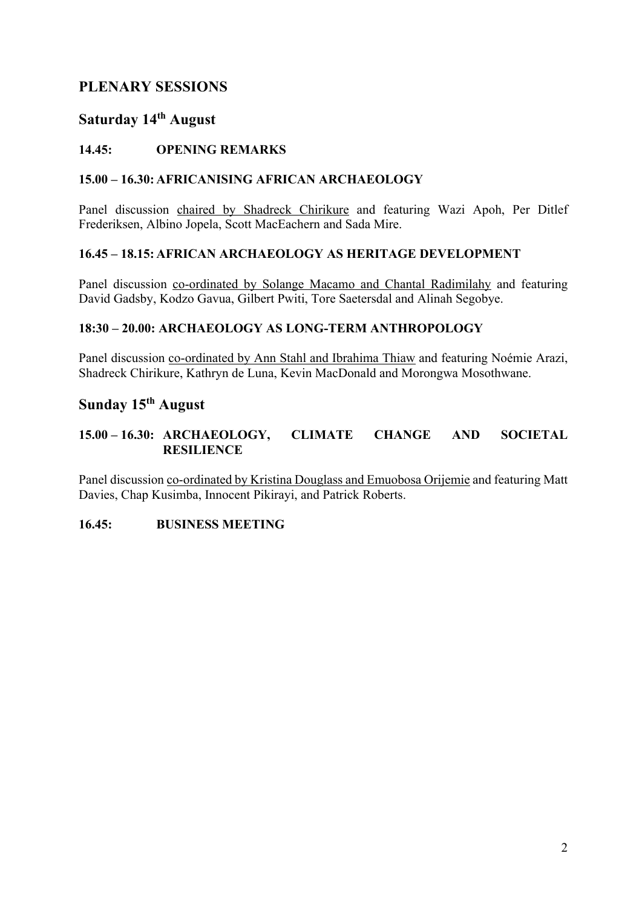# **PLENARY SESSIONS**

# **Saturday 14th August**

## **14.45: OPENING REMARKS**

## **15.00 – 16.30: AFRICANISING AFRICAN ARCHAEOLOGY**

Panel discussion chaired by Shadreck Chirikure and featuring Wazi Apoh, Per Ditlef Frederiksen, Albino Jopela, Scott MacEachern and Sada Mire.

## **16.45 – 18.15: AFRICAN ARCHAEOLOGY AS HERITAGE DEVELOPMENT**

Panel discussion co-ordinated by Solange Macamo and Chantal Radimilahy and featuring David Gadsby, Kodzo Gavua, Gilbert Pwiti, Tore Saetersdal and Alinah Segobye.

## **18:30 – 20.00: ARCHAEOLOGY AS LONG-TERM ANTHROPOLOGY**

Panel discussion co-ordinated by Ann Stahl and Ibrahima Thiaw and featuring Noémie Arazi, Shadreck Chirikure, Kathryn de Luna, Kevin MacDonald and Morongwa Mosothwane.

## **Sunday 15th August**

## **15.00 – 16.30: ARCHAEOLOGY, CLIMATE CHANGE AND SOCIETAL RESILIENCE**

Panel discussion co-ordinated by Kristina Douglass and Emuobosa Orijemie and featuring Matt Davies, Chap Kusimba, Innocent Pikirayi, and Patrick Roberts.

## **16.45: BUSINESS MEETING**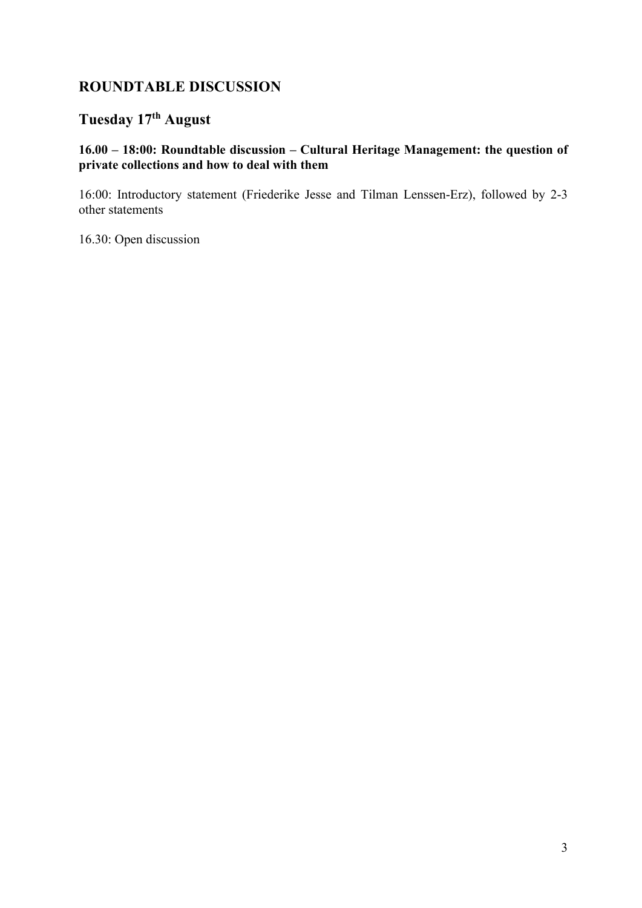# **ROUNDTABLE DISCUSSION**

# **Tuesday 17th August**

## **16.00 – 18:00: Roundtable discussion – Cultural Heritage Management: the question of private collections and how to deal with them**

16:00: Introductory statement (Friederike Jesse and Tilman Lenssen-Erz), followed by 2-3 other statements

16.30: Open discussion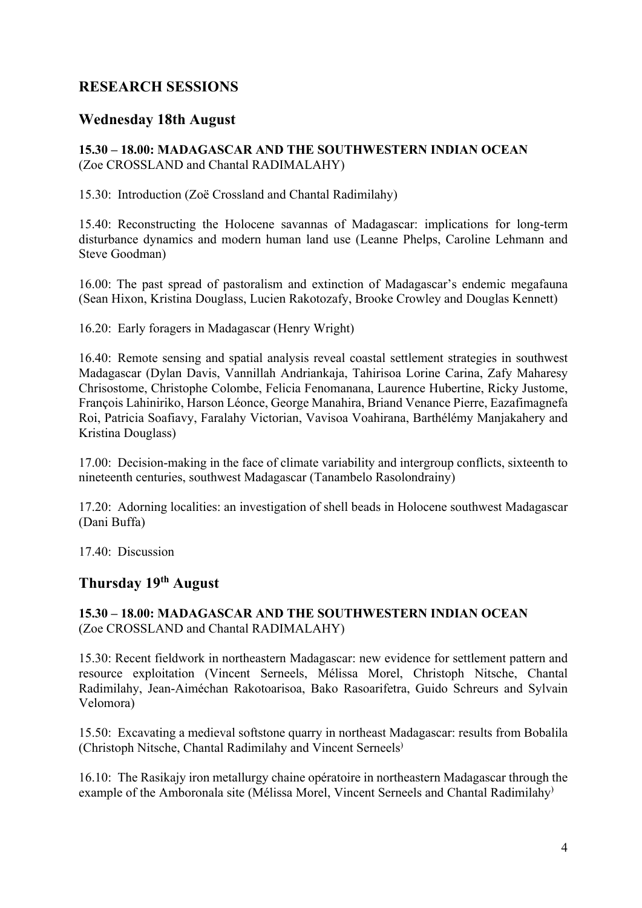# **RESEARCH SESSIONS**

## **Wednesday 18th August**

## **15.30 – 18.00: MADAGASCAR AND THE SOUTHWESTERN INDIAN OCEAN** (Zoe CROSSLAND and Chantal RADIMALAHY)

15.30: Introduction (Zoë Crossland and Chantal Radimilahy)

15.40: Reconstructing the Holocene savannas of Madagascar: implications for long-term disturbance dynamics and modern human land use (Leanne Phelps, Caroline Lehmann and Steve Goodman)

16.00: The past spread of pastoralism and extinction of Madagascar's endemic megafauna (Sean Hixon, Kristina Douglass, Lucien Rakotozafy, Brooke Crowley and Douglas Kennett)

16.20: Early foragers in Madagascar (Henry Wright)

16.40: Remote sensing and spatial analysis reveal coastal settlement strategies in southwest Madagascar (Dylan Davis, Vannillah Andriankaja, Tahirisoa Lorine Carina, Zafy Maharesy Chrisostome, Christophe Colombe, Felicia Fenomanana, Laurence Hubertine, Ricky Justome, François Lahiniriko, Harson Léonce, George Manahira, Briand Venance Pierre, Eazafimagnefa Roi, Patricia Soafiavy, Faralahy Victorian, Vavisoa Voahirana, Barthélémy Manjakahery and Kristina Douglass)

17.00: Decision-making in the face of climate variability and intergroup conflicts, sixteenth to nineteenth centuries, southwest Madagascar (Tanambelo Rasolondrainy)

17.20: Adorning localities: an investigation of shell beads in Holocene southwest Madagascar (Dani Buffa)

17.40: Discussion

# **Thursday 19th August**

## **15.30 – 18.00: MADAGASCAR AND THE SOUTHWESTERN INDIAN OCEAN** (Zoe CROSSLAND and Chantal RADIMALAHY)

15.30: Recent fieldwork in northeastern Madagascar: new evidence for settlement pattern and resource exploitation (Vincent Serneels, Mélissa Morel, Christoph Nitsche, Chantal Radimilahy, Jean-Aiméchan Rakotoarisoa, Bako Rasoarifetra, Guido Schreurs and Sylvain Velomora)

15.50: Excavating a medieval softstone quarry in northeast Madagascar: results from Bobalila (Christoph Nitsche, Chantal Radimilahy and Vincent Serneels)

16.10: The Rasikajy iron metallurgy chaine opératoire in northeastern Madagascar through the example of the Amboronala site (Mélissa Morel, Vincent Serneels and Chantal Radimilahy<sup>)</sup>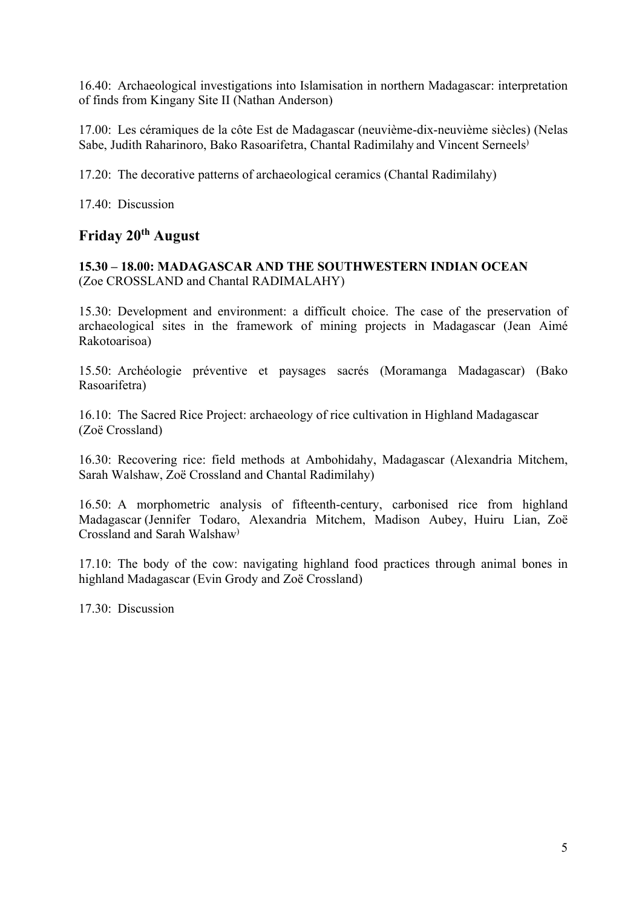16.40: Archaeological investigations into Islamisation in northern Madagascar: interpretation of finds from Kingany Site II (Nathan Anderson)

17.00: Les céramiques de la côte Est de Madagascar (neuvième-dix-neuvième siècles) (Nelas Sabe, Judith Raharinoro, Bako Rasoarifetra, Chantal Radimilahy and Vincent Serneels)

17.20: The decorative patterns of archaeological ceramics (Chantal Radimilahy)

17.40: Discussion

# **Friday 20th August**

**15.30 – 18.00: MADAGASCAR AND THE SOUTHWESTERN INDIAN OCEAN** (Zoe CROSSLAND and Chantal RADIMALAHY)

15.30: Development and environment: a difficult choice. The case of the preservation of archaeological sites in the framework of mining projects in Madagascar (Jean Aimé Rakotoarisoa)

15.50: Archéologie préventive et paysages sacrés (Moramanga Madagascar) (Bako Rasoarifetra)

16.10: The Sacred Rice Project: archaeology of rice cultivation in Highland Madagascar (Zoë Crossland)

16.30: Recovering rice: field methods at Ambohidahy, Madagascar (Alexandria Mitchem, Sarah Walshaw, Zoë Crossland and Chantal Radimilahy)

16.50: A morphometric analysis of fifteenth-century, carbonised rice from highland Madagascar (Jennifer Todaro, Alexandria Mitchem, Madison Aubey, Huiru Lian, Zoë Crossland and Sarah Walshaw)

17.10: The body of the cow: navigating highland food practices through animal bones in highland Madagascar (Evin Grody and Zoë Crossland)

17.30: Discussion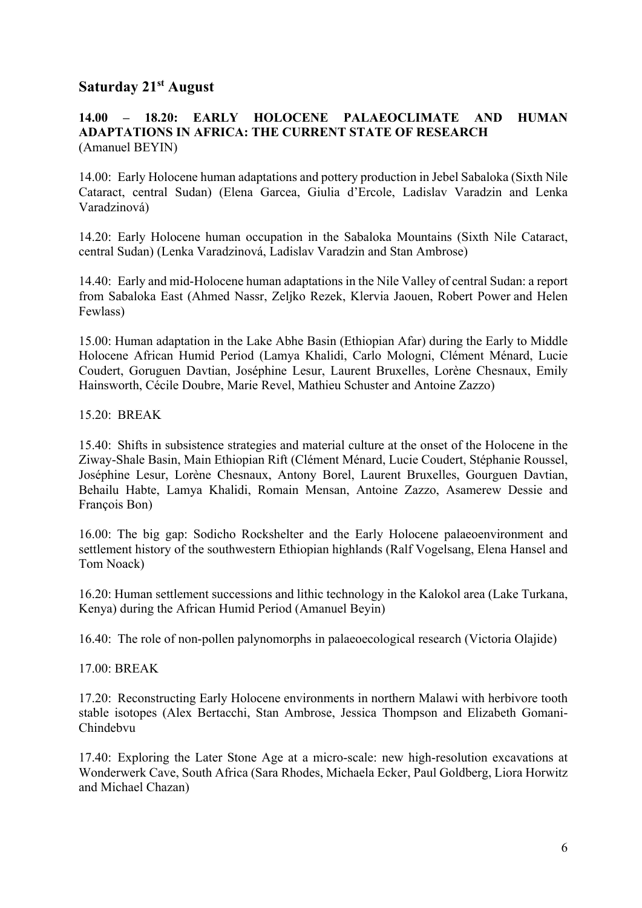## **Saturday 21st August**

### **14.00 – 18.20: EARLY HOLOCENE PALAEOCLIMATE AND HUMAN ADAPTATIONS IN AFRICA: THE CURRENT STATE OF RESEARCH** (Amanuel BEYIN)

14.00: Early Holocene human adaptations and pottery production in Jebel Sabaloka (Sixth Nile Cataract, central Sudan) (Elena Garcea, Giulia d'Ercole, Ladislav Varadzin and Lenka Varadzinová)

14.20: Early Holocene human occupation in the Sabaloka Mountains (Sixth Nile Cataract, central Sudan) (Lenka Varadzinová, Ladislav Varadzin and Stan Ambrose)

14.40: Early and mid-Holocene human adaptations in the Nile Valley of central Sudan: a report from Sabaloka East (Ahmed Nassr, Zeljko Rezek, Klervia Jaouen, Robert Power and Helen Fewlass)

15.00: Human adaptation in the Lake Abhe Basin (Ethiopian Afar) during the Early to Middle Holocene African Humid Period (Lamya Khalidi, Carlo Mologni, Clément Ménard, Lucie Coudert, Goruguen Davtian, Joséphine Lesur, Laurent Bruxelles, Lorène Chesnaux, Emily Hainsworth, Cécile Doubre, Marie Revel, Mathieu Schuster and Antoine Zazzo)

#### 15.20: BREAK

15.40: Shifts in subsistence strategies and material culture at the onset of the Holocene in the Ziway-Shale Basin, Main Ethiopian Rift (Clément Ménard, Lucie Coudert, Stéphanie Roussel, Joséphine Lesur, Lorène Chesnaux, Antony Borel, Laurent Bruxelles, Gourguen Davtian, Behailu Habte, Lamya Khalidi, Romain Mensan, Antoine Zazzo, Asamerew Dessie and François Bon)

16.00: The big gap: Sodicho Rockshelter and the Early Holocene palaeoenvironment and settlement history of the southwestern Ethiopian highlands (Ralf Vogelsang, Elena Hansel and Tom Noack)

16.20: Human settlement successions and lithic technology in the Kalokol area (Lake Turkana, Kenya) during the African Humid Period (Amanuel Beyin)

16.40: The role of non-pollen palynomorphs in palaeoecological research (Victoria Olajide)

#### 17.00: BREAK

17.20: Reconstructing Early Holocene environments in northern Malawi with herbivore tooth stable isotopes (Alex Bertacchi, Stan Ambrose, Jessica Thompson and Elizabeth Gomani-Chindebvu

17.40: Exploring the Later Stone Age at a micro-scale: new high-resolution excavations at Wonderwerk Cave, South Africa (Sara Rhodes, Michaela Ecker, Paul Goldberg, Liora Horwitz and Michael Chazan)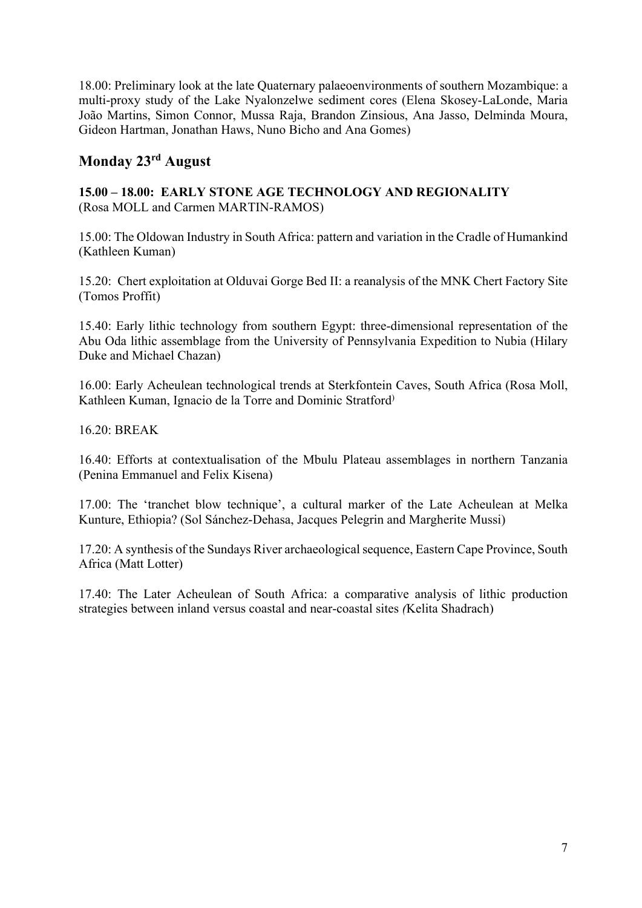18.00: Preliminary look at the late Quaternary palaeoenvironments of southern Mozambique: a multi-proxy study of the Lake Nyalonzelwe sediment cores (Elena Skosey-LaLonde, Maria João Martins, Simon Connor, Mussa Raja, Brandon Zinsious, Ana Jasso, Delminda Moura, Gideon Hartman, Jonathan Haws, Nuno Bicho and Ana Gomes)

# **Monday 23rd August**

## **15.00 – 18.00: EARLY STONE AGE TECHNOLOGY AND REGIONALITY**  (Rosa MOLL and Carmen MARTIN-RAMOS)

15.00: The Oldowan Industry in South Africa: pattern and variation in the Cradle of Humankind (Kathleen Kuman)

15.20: Chert exploitation at Olduvai Gorge Bed II: a reanalysis of the MNK Chert Factory Site (Tomos Proffit)

15.40: Early lithic technology from southern Egypt: three-dimensional representation of the Abu Oda lithic assemblage from the University of Pennsylvania Expedition to Nubia (Hilary Duke and Michael Chazan)

16.00: Early Acheulean technological trends at Sterkfontein Caves, South Africa (Rosa Moll, Kathleen Kuman, Ignacio de la Torre and Dominic Stratford)

16.20: BREAK

16.40: Efforts at contextualisation of the Mbulu Plateau assemblages in northern Tanzania (Penina Emmanuel and Felix Kisena)

17.00: The 'tranchet blow technique', a cultural marker of the Late Acheulean at Melka Kunture, Ethiopia? (Sol Sánchez-Dehasa, Jacques Pelegrin and Margherite Mussi)

17.20: A synthesis of the Sundays River archaeological sequence, Eastern Cape Province, South Africa (Matt Lotter)

17.40: The Later Acheulean of South Africa: a comparative analysis of lithic production strategies between inland versus coastal and near-coastal sites *(*Kelita Shadrach)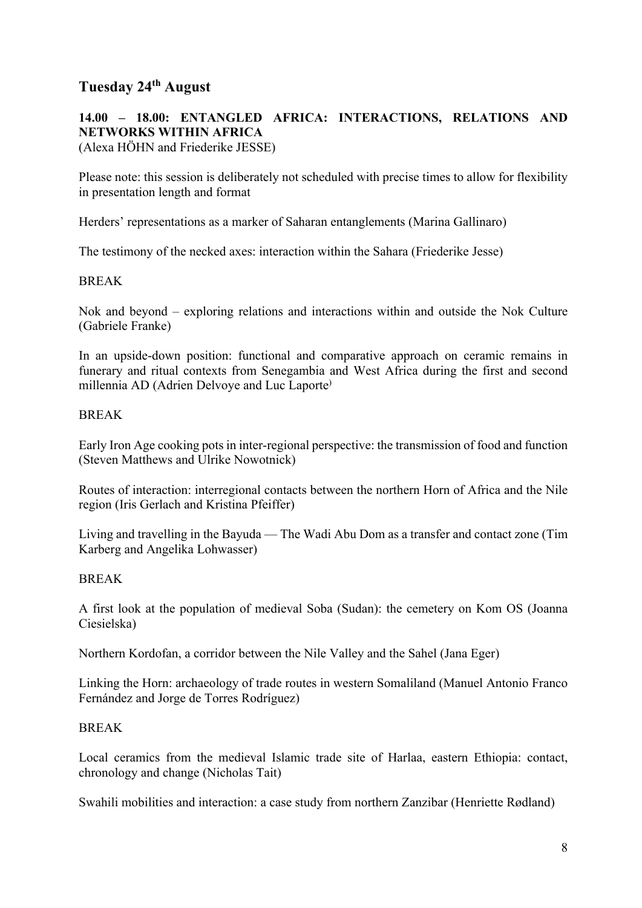# **Tuesday 24th August**

# **14.00 – 18.00: ENTANGLED AFRICA: INTERACTIONS, RELATIONS AND NETWORKS WITHIN AFRICA**

(Alexa HÖHN and Friederike JESSE)

Please note: this session is deliberately not scheduled with precise times to allow for flexibility in presentation length and format

Herders' representations as a marker of Saharan entanglements (Marina Gallinaro)

The testimony of the necked axes: interaction within the Sahara (Friederike Jesse)

#### BREAK

Nok and beyond – exploring relations and interactions within and outside the Nok Culture (Gabriele Franke)

In an upside-down position: functional and comparative approach on ceramic remains in funerary and ritual contexts from Senegambia and West Africa during the first and second millennia AD (Adrien Delvoye and Luc Laporte)

#### BREAK

Early Iron Age cooking pots in inter-regional perspective: the transmission of food and function (Steven Matthews and Ulrike Nowotnick)

Routes of interaction: interregional contacts between the northern Horn of Africa and the Nile region (Iris Gerlach and Kristina Pfeiffer)

Living and travelling in the Bayuda — The Wadi Abu Dom as a transfer and contact zone (Tim Karberg and Angelika Lohwasser)

#### BREAK

A first look at the population of medieval Soba (Sudan): the cemetery on Kom OS (Joanna Ciesielska)

Northern Kordofan, a corridor between the Nile Valley and the Sahel (Jana Eger)

Linking the Horn: archaeology of trade routes in western Somaliland (Manuel Antonio Franco Fernández and Jorge de Torres Rodríguez)

#### BREAK

Local ceramics from the medieval Islamic trade site of Harlaa, eastern Ethiopia: contact, chronology and change (Nicholas Tait)

Swahili mobilities and interaction: a case study from northern Zanzibar (Henriette Rødland)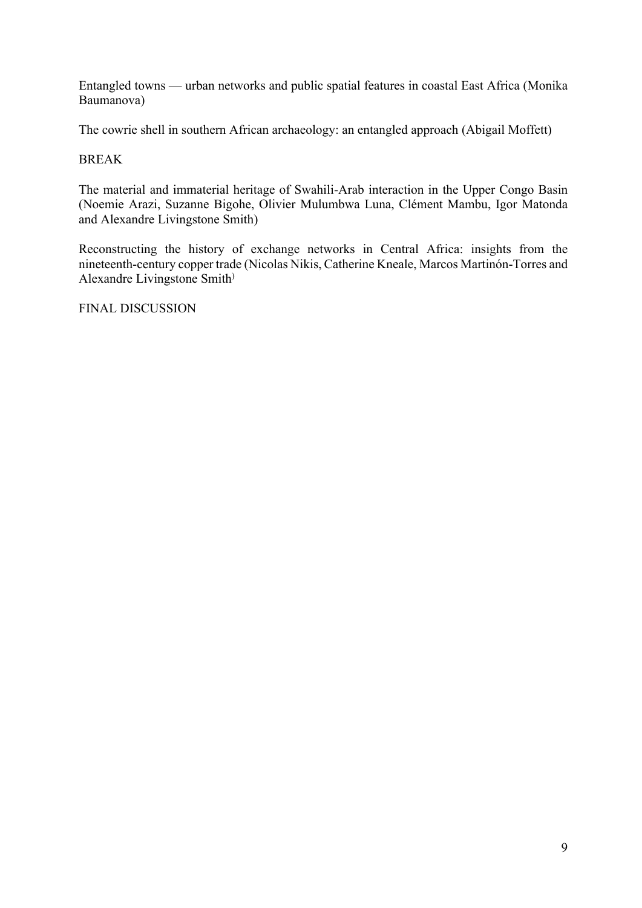Entangled towns — urban networks and public spatial features in coastal East Africa (Monika Baumanova)

The cowrie shell in southern African archaeology: an entangled approach (Abigail Moffett)

## BREAK

The material and immaterial heritage of Swahili-Arab interaction in the Upper Congo Basin (Noemie Arazi, Suzanne Bigohe, Olivier Mulumbwa Luna, Clément Mambu, Igor Matonda and Alexandre Livingstone Smith)

Reconstructing the history of exchange networks in Central Africa: insights from the nineteenth-century copper trade (Nicolas Nikis, Catherine Kneale, Marcos Martinón-Torres and Alexandre Livingstone Smith)

FINAL DISCUSSION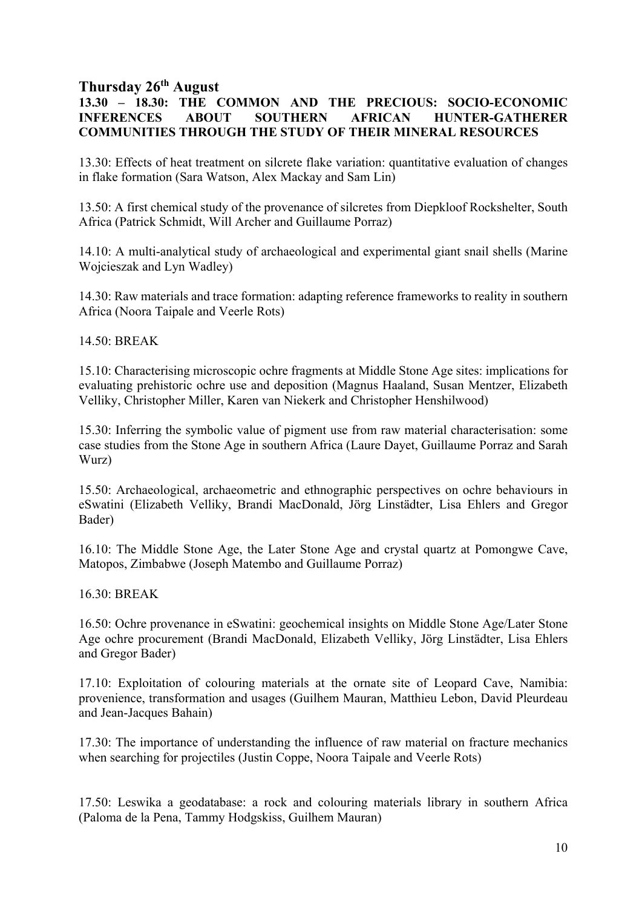## **Thursday 26th August**

## **13.30 – 18.30: THE COMMON AND THE PRECIOUS: SOCIO-ECONOMIC INFERENCES ABOUT SOUTHERN AFRICAN HUNTER-GATHERER COMMUNITIES THROUGH THE STUDY OF THEIR MINERAL RESOURCES**

13.30: Effects of heat treatment on silcrete flake variation: quantitative evaluation of changes in flake formation (Sara Watson, Alex Mackay and Sam Lin)

13.50: A first chemical study of the provenance of silcretes from Diepkloof Rockshelter, South Africa (Patrick Schmidt, Will Archer and Guillaume Porraz)

14.10: A multi-analytical study of archaeological and experimental giant snail shells (Marine Wojcieszak and Lyn Wadley)

14.30: Raw materials and trace formation: adapting reference frameworks to reality in southern Africa (Noora Taipale and Veerle Rots)

14.50: BREAK

15.10: Characterising microscopic ochre fragments at Middle Stone Age sites: implications for evaluating prehistoric ochre use and deposition (Magnus Haaland, Susan Mentzer, Elizabeth Velliky, Christopher Miller, Karen van Niekerk and Christopher Henshilwood)

15.30: Inferring the symbolic value of pigment use from raw material characterisation: some case studies from the Stone Age in southern Africa (Laure Dayet, Guillaume Porraz and Sarah Wurz)

15.50: Archaeological, archaeometric and ethnographic perspectives on ochre behaviours in eSwatini (Elizabeth Velliky, Brandi MacDonald, Jörg Linstädter, Lisa Ehlers and Gregor Bader)

16.10: The Middle Stone Age, the Later Stone Age and crystal quartz at Pomongwe Cave, Matopos, Zimbabwe (Joseph Matembo and Guillaume Porraz)

16.30: BREAK

16.50: Ochre provenance in eSwatini: geochemical insights on Middle Stone Age/Later Stone Age ochre procurement (Brandi MacDonald, Elizabeth Velliky, Jörg Linstädter, Lisa Ehlers and Gregor Bader)

17.10: Exploitation of colouring materials at the ornate site of Leopard Cave, Namibia: provenience, transformation and usages (Guilhem Mauran, Matthieu Lebon, David Pleurdeau and Jean-Jacques Bahain)

17.30: The importance of understanding the influence of raw material on fracture mechanics when searching for projectiles (Justin Coppe, Noora Taipale and Veerle Rots)

17.50: Leswika a geodatabase: a rock and colouring materials library in southern Africa (Paloma de la Pena, Tammy Hodgskiss, Guilhem Mauran)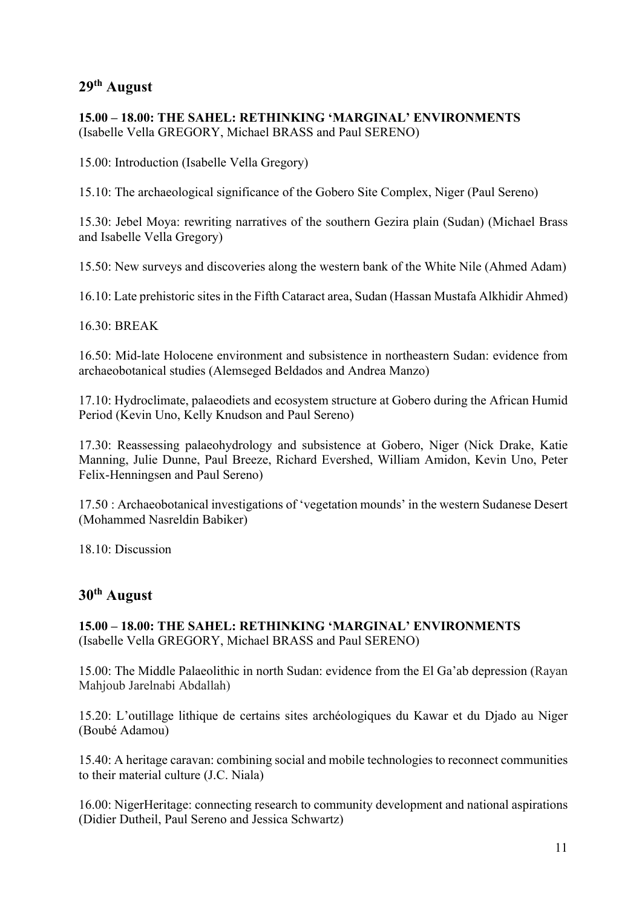## **29th August**

## **15.00 – 18.00: THE SAHEL: RETHINKING 'MARGINAL' ENVIRONMENTS**  (Isabelle Vella GREGORY, Michael BRASS and Paul SERENO)

15.00: Introduction (Isabelle Vella Gregory)

15.10: The archaeological significance of the Gobero Site Complex, Niger (Paul Sereno)

15.30: Jebel Moya: rewriting narratives of the southern Gezira plain (Sudan) (Michael Brass and Isabelle Vella Gregory)

15.50: New surveys and discoveries along the western bank of the White Nile (Ahmed Adam)

16.10: Late prehistoric sites in the Fifth Cataract area, Sudan (Hassan Mustafa Alkhidir Ahmed)

#### 16.30: BREAK

16.50: Mid-late Holocene environment and subsistence in northeastern Sudan: evidence from archaeobotanical studies (Alemseged Beldados and Andrea Manzo)

17.10: Hydroclimate, palaeodiets and ecosystem structure at Gobero during the African Humid Period (Kevin Uno, Kelly Knudson and Paul Sereno)

17.30: Reassessing palaeohydrology and subsistence at Gobero, Niger (Nick Drake, Katie Manning, Julie Dunne, Paul Breeze, Richard Evershed, William Amidon, Kevin Uno, Peter Felix-Henningsen and Paul Sereno)

17.50 : Archaeobotanical investigations of 'vegetation mounds' in the western Sudanese Desert (Mohammed Nasreldin Babiker)

18.10: Discussion

## **30th August**

**15.00 – 18.00: THE SAHEL: RETHINKING 'MARGINAL' ENVIRONMENTS** (Isabelle Vella GREGORY, Michael BRASS and Paul SERENO)

15.00: The Middle Palaeolithic in north Sudan: evidence from the El Ga'ab depression (Rayan Mahjoub Jarelnabi Abdallah)

15.20: L'outillage lithique de certains sites archéologiques du Kawar et du Djado au Niger (Boubé Adamou)

15.40: A heritage caravan: combining social and mobile technologies to reconnect communities to their material culture (J.C. Niala)

16.00: NigerHeritage: connecting research to community development and national aspirations (Didier Dutheil, Paul Sereno and Jessica Schwartz)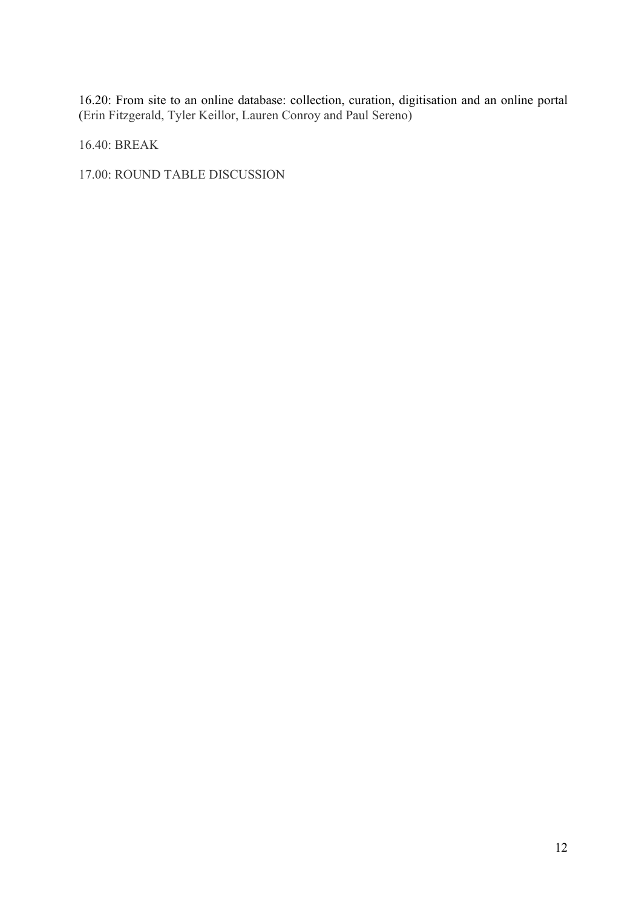16.20: From site to an online database: collection, curation, digitisation and an online portal (Erin Fitzgerald, Tyler Keillor, Lauren Conroy and Paul Sereno)

16.40: BREAK

17.00: ROUND TABLE DISCUSSION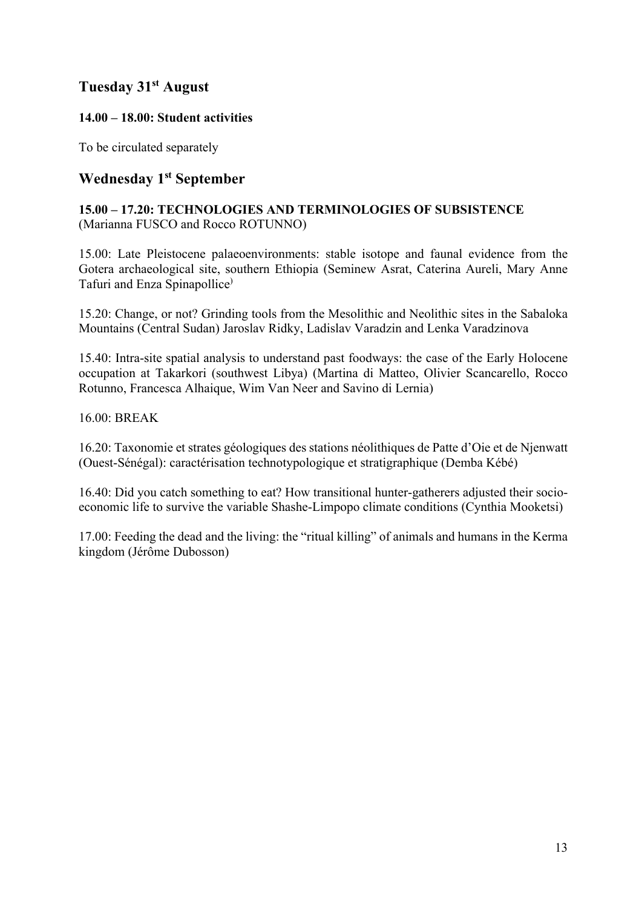# **Tuesday 31st August**

## **14.00 – 18.00: Student activities**

To be circulated separately

# **Wednesday 1st September**

## **15.00 – 17.20: TECHNOLOGIES AND TERMINOLOGIES OF SUBSISTENCE**  (Marianna FUSCO and Rocco ROTUNNO)

15.00: Late Pleistocene palaeoenvironments: stable isotope and faunal evidence from the Gotera archaeological site, southern Ethiopia (Seminew Asrat, Caterina Aureli, Mary Anne Tafuri and Enza Spinapollice)

15.20: Change, or not? Grinding tools from the Mesolithic and Neolithic sites in the Sabaloka Mountains (Central Sudan) Jaroslav Ridky, Ladislav Varadzin and Lenka Varadzinova

15.40: Intra-site spatial analysis to understand past foodways: the case of the Early Holocene occupation at Takarkori (southwest Libya) (Martina di Matteo, Olivier Scancarello, Rocco Rotunno, Francesca Alhaique, Wim Van Neer and Savino di Lernia)

## 16.00: BREAK

16.20: Taxonomie et strates géologiques des stations néolithiques de Patte d'Oie et de Njenwatt (Ouest-Sénégal): caractérisation technotypologique et stratigraphique (Demba Kébé)

16.40: Did you catch something to eat? How transitional hunter-gatherers adjusted their socioeconomic life to survive the variable Shashe-Limpopo climate conditions (Cynthia Mooketsi)

17.00: Feeding the dead and the living: the "ritual killing" of animals and humans in the Kerma kingdom (Jérôme Dubosson)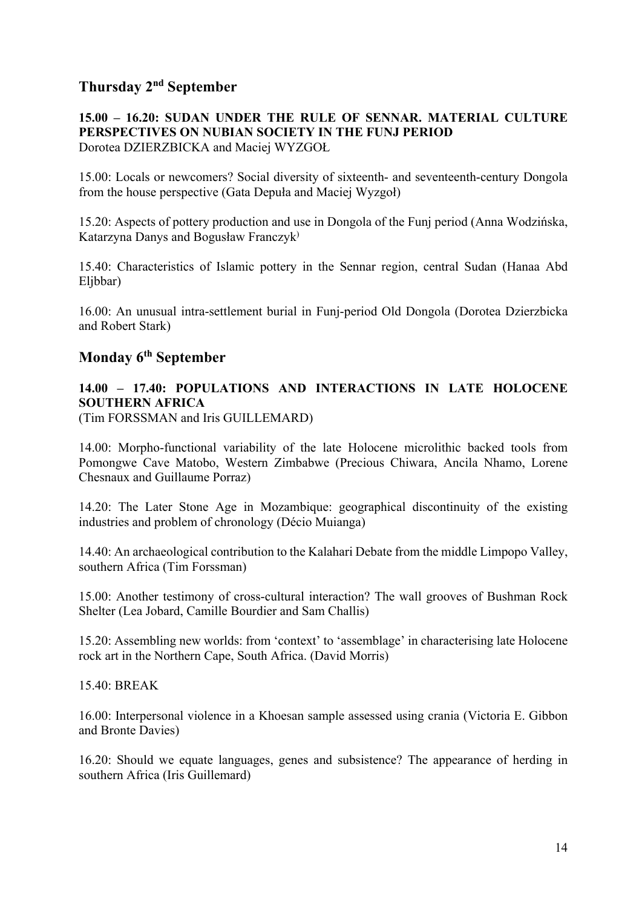# **Thursday 2nd September**

#### **15.00 – 16.20: SUDAN UNDER THE RULE OF SENNAR. MATERIAL CULTURE PERSPECTIVES ON NUBIAN SOCIETY IN THE FUNJ PERIOD** Dorotea DZIERZBICKA and Maciej WYZGOŁ

15.00: Locals or newcomers? Social diversity of sixteenth- and seventeenth-century Dongola from the house perspective (Gata Depuła and Maciej Wyzgoł)

15.20: Aspects of pottery production and use in Dongola of the Funj period (Anna Wodzińska, Katarzyna Danys and Bogusław Franczyk)

15.40: Characteristics of Islamic pottery in the Sennar region, central Sudan (Hanaa Abd Eljbbar)

16.00: An unusual intra-settlement burial in Funj-period Old Dongola (Dorotea Dzierzbicka and Robert Stark)

# **Monday 6th September**

# **14.00 – 17.40: POPULATIONS AND INTERACTIONS IN LATE HOLOCENE SOUTHERN AFRICA**

(Tim FORSSMAN and Iris GUILLEMARD)

14.00: Morpho-functional variability of the late Holocene microlithic backed tools from Pomongwe Cave Matobo, Western Zimbabwe (Precious Chiwara, Ancila Nhamo, Lorene Chesnaux and Guillaume Porraz)

14.20: The Later Stone Age in Mozambique: geographical discontinuity of the existing industries and problem of chronology (Décio Muianga)

14.40: An archaeological contribution to the Kalahari Debate from the middle Limpopo Valley, southern Africa (Tim Forssman)

15.00: Another testimony of cross-cultural interaction? The wall grooves of Bushman Rock Shelter (Lea Jobard, Camille Bourdier and Sam Challis)

15.20: Assembling new worlds: from 'context' to 'assemblage' in characterising late Holocene rock art in the Northern Cape, South Africa. (David Morris)

15.40: BREAK

16.00: Interpersonal violence in a Khoesan sample assessed using crania (Victoria E. Gibbon and Bronte Davies)

16.20: Should we equate languages, genes and subsistence? The appearance of herding in southern Africa (Iris Guillemard)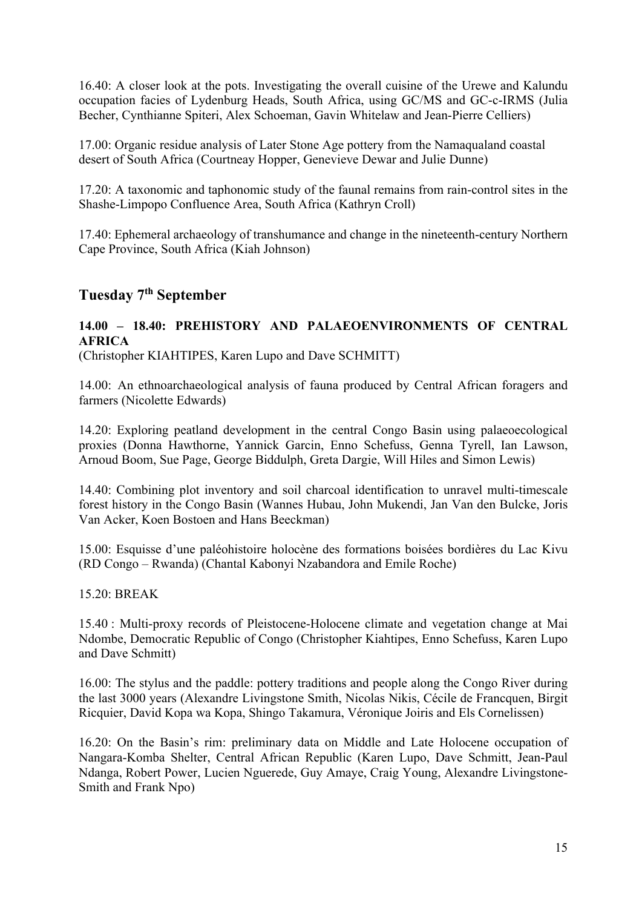16.40: A closer look at the pots. Investigating the overall cuisine of the Urewe and Kalundu occupation facies of Lydenburg Heads, South Africa, using GC/MS and GC-c-IRMS (Julia Becher, Cynthianne Spiteri, Alex Schoeman, Gavin Whitelaw and Jean-Pierre Celliers)

17.00: Organic residue analysis of Later Stone Age pottery from the Namaqualand coastal desert of South Africa (Courtneay Hopper, Genevieve Dewar and Julie Dunne)

17.20: A taxonomic and taphonomic study of the faunal remains from rain-control sites in the Shashe-Limpopo Confluence Area, South Africa (Kathryn Croll)

17.40: Ephemeral archaeology of transhumance and change in the nineteenth-century Northern Cape Province, South Africa (Kiah Johnson)

## **Tuesday 7th September**

## **14.00 – 18.40: PREHISTORY AND PALAEOENVIRONMENTS OF CENTRAL AFRICA**

(Christopher KIAHTIPES, Karen Lupo and Dave SCHMITT)

14.00: An ethnoarchaeological analysis of fauna produced by Central African foragers and farmers (Nicolette Edwards)

14.20: Exploring peatland development in the central Congo Basin using palaeoecological proxies (Donna Hawthorne, Yannick Garcin, Enno Schefuss, Genna Tyrell, Ian Lawson, Arnoud Boom, Sue Page, George Biddulph, Greta Dargie, Will Hiles and Simon Lewis)

14.40: Combining plot inventory and soil charcoal identification to unravel multi-timescale forest history in the Congo Basin (Wannes Hubau, John Mukendi, Jan Van den Bulcke, Joris Van Acker, Koen Bostoen and Hans Beeckman)

15.00: Esquisse d'une paléohistoire holocène des formations boisées bordières du Lac Kivu (RD Congo – Rwanda) (Chantal Kabonyi Nzabandora and Emile Roche)

15.20: BREAK

15.40 : Multi-proxy records of Pleistocene-Holocene climate and vegetation change at Mai Ndombe, Democratic Republic of Congo (Christopher Kiahtipes, Enno Schefuss, Karen Lupo and Dave Schmitt)

16.00: The stylus and the paddle: pottery traditions and people along the Congo River during the last 3000 years (Alexandre Livingstone Smith, Nicolas Nikis, Cécile de Francquen, Birgit Ricquier, David Kopa wa Kopa, Shingo Takamura, Véronique Joiris and Els Cornelissen)

16.20: On the Basin's rim: preliminary data on Middle and Late Holocene occupation of Nangara-Komba Shelter, Central African Republic (Karen Lupo, Dave Schmitt, Jean-Paul Ndanga, Robert Power, Lucien Nguerede, Guy Amaye, Craig Young, Alexandre Livingstone-Smith and Frank Npo)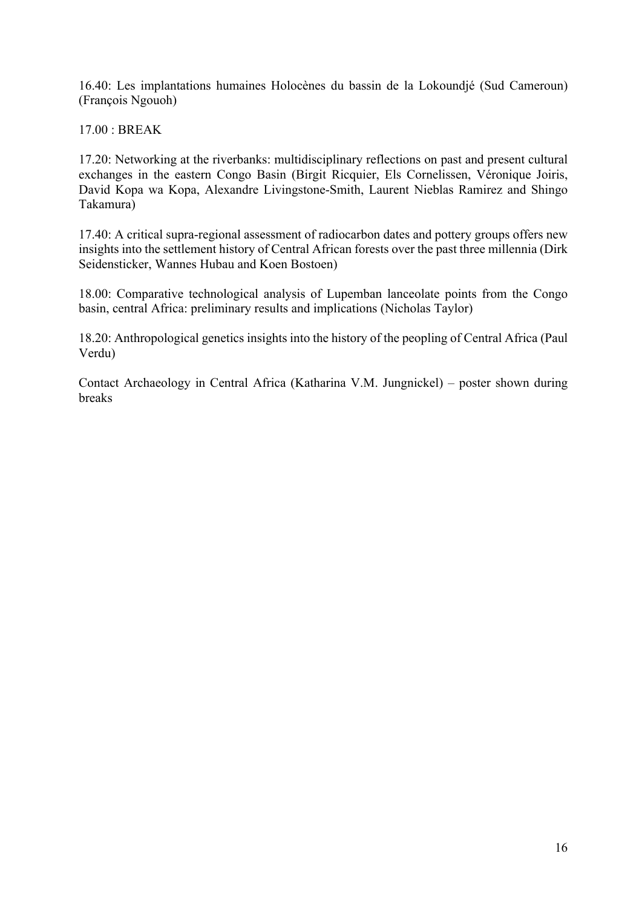16.40: Les implantations humaines Holocènes du bassin de la Lokoundjé (Sud Cameroun) (François Ngouoh)

17.00 : BREAK

17.20: Networking at the riverbanks: multidisciplinary reflections on past and present cultural exchanges in the eastern Congo Basin (Birgit Ricquier, Els Cornelissen, Véronique Joiris, David Kopa wa Kopa, Alexandre Livingstone-Smith, Laurent Nieblas Ramirez and Shingo Takamura)

17.40: A critical supra-regional assessment of radiocarbon dates and pottery groups offers new insights into the settlement history of Central African forests over the past three millennia (Dirk Seidensticker, Wannes Hubau and Koen Bostoen)

18.00: Comparative technological analysis of Lupemban lanceolate points from the Congo basin, central Africa: preliminary results and implications (Nicholas Taylor)

18.20: Anthropological genetics insights into the history of the peopling of Central Africa (Paul Verdu)

Contact Archaeology in Central Africa (Katharina V.M. Jungnickel) – poster shown during breaks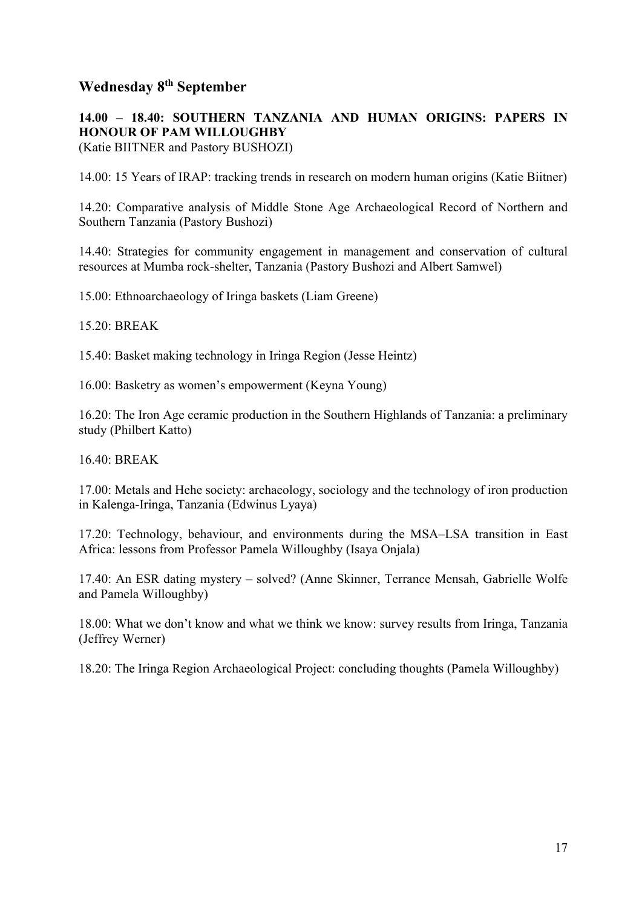# **Wednesday 8th September**

**14.00 – 18.40: SOUTHERN TANZANIA AND HUMAN ORIGINS: PAPERS IN HONOUR OF PAM WILLOUGHBY** 

(Katie BIITNER and Pastory BUSHOZI)

14.00: 15 Years of IRAP: tracking trends in research on modern human origins (Katie Biitner)

14.20: Comparative analysis of Middle Stone Age Archaeological Record of Northern and Southern Tanzania (Pastory Bushozi)

14.40: Strategies for community engagement in management and conservation of cultural resources at Mumba rock-shelter, Tanzania (Pastory Bushozi and Albert Samwel)

15.00: Ethnoarchaeology of Iringa baskets (Liam Greene)

15.20: BREAK

15.40: Basket making technology in Iringa Region (Jesse Heintz)

16.00: Basketry as women's empowerment (Keyna Young)

16.20: The Iron Age ceramic production in the Southern Highlands of Tanzania: a preliminary study (Philbert Katto)

16.40: BREAK

17.00: Metals and Hehe society: archaeology, sociology and the technology of iron production in Kalenga-Iringa, Tanzania (Edwinus Lyaya)

17.20: Technology, behaviour, and environments during the MSA–LSA transition in East Africa: lessons from Professor Pamela Willoughby (Isaya Onjala)

17.40: An ESR dating mystery – solved? (Anne Skinner, Terrance Mensah, Gabrielle Wolfe and Pamela Willoughby)

18.00: What we don't know and what we think we know: survey results from Iringa, Tanzania (Jeffrey Werner)

18.20: The Iringa Region Archaeological Project: concluding thoughts (Pamela Willoughby)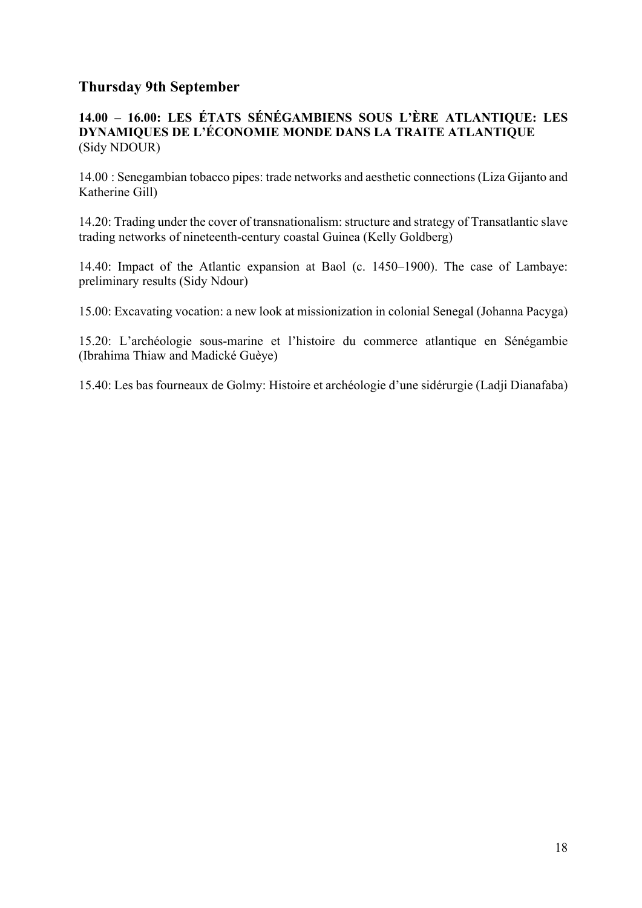# **Thursday 9th September**

## **14.00 – 16.00: LES ÉTATS SÉNÉGAMBIENS SOUS L'ÈRE ATLANTIQUE: LES DYNAMIQUES DE L'ÉCONOMIE MONDE DANS LA TRAITE ATLANTIQUE**  (Sidy NDOUR)

14.00 : Senegambian tobacco pipes: trade networks and aesthetic connections (Liza Gijanto and Katherine Gill)

14.20: Trading under the cover of transnationalism: structure and strategy of Transatlantic slave trading networks of nineteenth-century coastal Guinea (Kelly Goldberg)

14.40: Impact of the Atlantic expansion at Baol (c. 1450–1900). The case of Lambaye: preliminary results (Sidy Ndour)

15.00: Excavating vocation: a new look at missionization in colonial Senegal (Johanna Pacyga)

15.20: L'archéologie sous-marine et l'histoire du commerce atlantique en Sénégambie (Ibrahima Thiaw and Madické Guèye)

15.40: Les bas fourneaux de Golmy: Histoire et archéologie d'une sidérurgie (Ladji Dianafaba)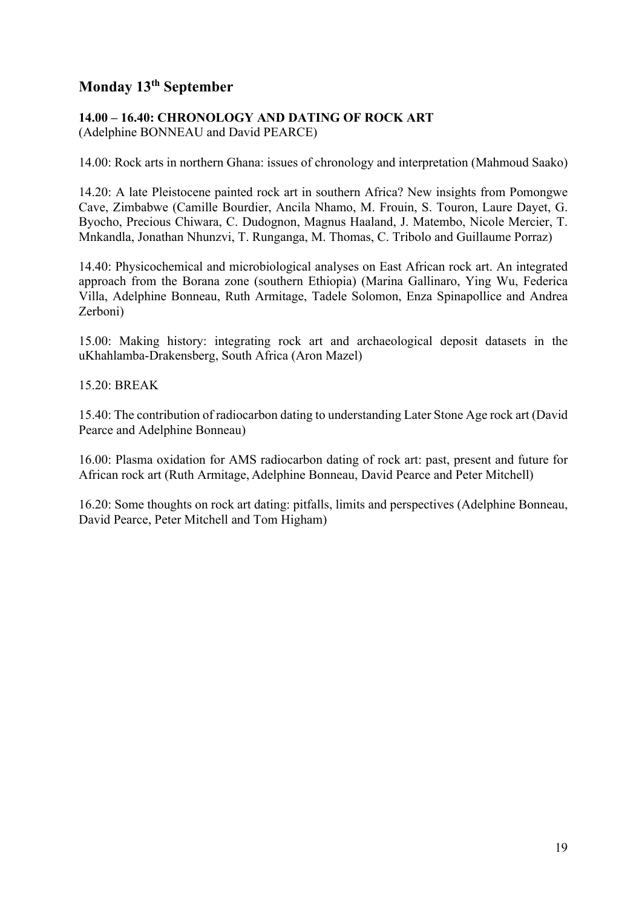# **Monday 13th September**

#### **14.00 – 16.40: CHRONOLOGY AND DATING OF ROCK ART**  (Adelphine BONNEAU and David PEARCE)

14.00: Rock arts in northern Ghana: issues of chronology and interpretation (Mahmoud Saako)

14.20: A late Pleistocene painted rock art in southern Africa? New insights from Pomongwe Cave, Zimbabwe (Camille Bourdier, Ancila Nhamo, M. Frouin, S. Touron, Laure Dayet, G. Byocho, Precious Chiwara, C. Dudognon, Magnus Haaland, J. Matembo, Nicole Mercier, T. Mnkandla, Jonathan Nhunzvi, T. Runganga, M. Thomas, C. Tribolo and Guillaume Porraz)

14.40: Physicochemical and microbiological analyses on East African rock art. An integrated approach from the Borana zone (southern Ethiopia) (Marina Gallinaro, Ying Wu, Federica Villa, Adelphine Bonneau, Ruth Armitage, Tadele Solomon, Enza Spinapollice and Andrea Zerboni)

15.00: Making history: integrating rock art and archaeological deposit datasets in the uKhahlamba-Drakensberg, South Africa (Aron Mazel)

15.20: BREAK

15.40: The contribution of radiocarbon dating to understanding Later Stone Age rock art (David Pearce and Adelphine Bonneau)

16.00: Plasma oxidation for AMS radiocarbon dating of rock art: past, present and future for African rock art (Ruth Armitage, Adelphine Bonneau, David Pearce and Peter Mitchell)

16.20: Some thoughts on rock art dating: pitfalls, limits and perspectives (Adelphine Bonneau, David Pearce, Peter Mitchell and Tom Higham)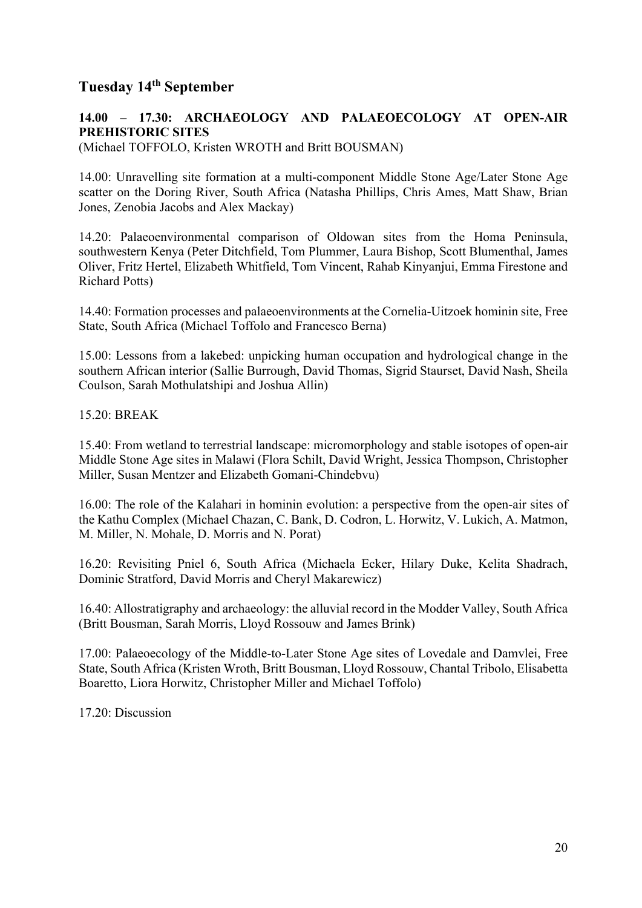# **Tuesday 14th September**

## **14.00 – 17.30: ARCHAEOLOGY AND PALAEOECOLOGY AT OPEN-AIR PREHISTORIC SITES**

(Michael TOFFOLO, Kristen WROTH and Britt BOUSMAN)

14.00: Unravelling site formation at a multi-component Middle Stone Age/Later Stone Age scatter on the Doring River, South Africa (Natasha Phillips, Chris Ames, Matt Shaw, Brian Jones, Zenobia Jacobs and Alex Mackay)

14.20: Palaeoenvironmental comparison of Oldowan sites from the Homa Peninsula, southwestern Kenya (Peter Ditchfield, Tom Plummer, Laura Bishop, Scott Blumenthal, James Oliver, Fritz Hertel, Elizabeth Whitfield, Tom Vincent, Rahab Kinyanjui, Emma Firestone and Richard Potts)

14.40: Formation processes and palaeoenvironments at the Cornelia-Uitzoek hominin site, Free State, South Africa (Michael Toffolo and Francesco Berna)

15.00: Lessons from a lakebed: unpicking human occupation and hydrological change in the southern African interior (Sallie Burrough, David Thomas, Sigrid Staurset, David Nash, Sheila Coulson, Sarah Mothulatshipi and Joshua Allin)

15.20: BREAK

15.40: From wetland to terrestrial landscape: micromorphology and stable isotopes of open-air Middle Stone Age sites in Malawi (Flora Schilt, David Wright, Jessica Thompson, Christopher Miller, Susan Mentzer and Elizabeth Gomani-Chindebvu)

16.00: The role of the Kalahari in hominin evolution: a perspective from the open-air sites of the Kathu Complex (Michael Chazan, C. Bank, D. Codron, L. Horwitz, V. Lukich, A. Matmon, M. Miller, N. Mohale, D. Morris and N. Porat)

16.20: Revisiting Pniel 6, South Africa (Michaela Ecker, Hilary Duke, Kelita Shadrach, Dominic Stratford, David Morris and Cheryl Makarewicz)

16.40: Allostratigraphy and archaeology: the alluvial record in the Modder Valley, South Africa (Britt Bousman, Sarah Morris, Lloyd Rossouw and James Brink)

17.00: Palaeoecology of the Middle-to-Later Stone Age sites of Lovedale and Damvlei, Free State, South Africa (Kristen Wroth, Britt Bousman, Lloyd Rossouw, Chantal Tribolo, Elisabetta Boaretto, Liora Horwitz, Christopher Miller and Michael Toffolo)

17.20: Discussion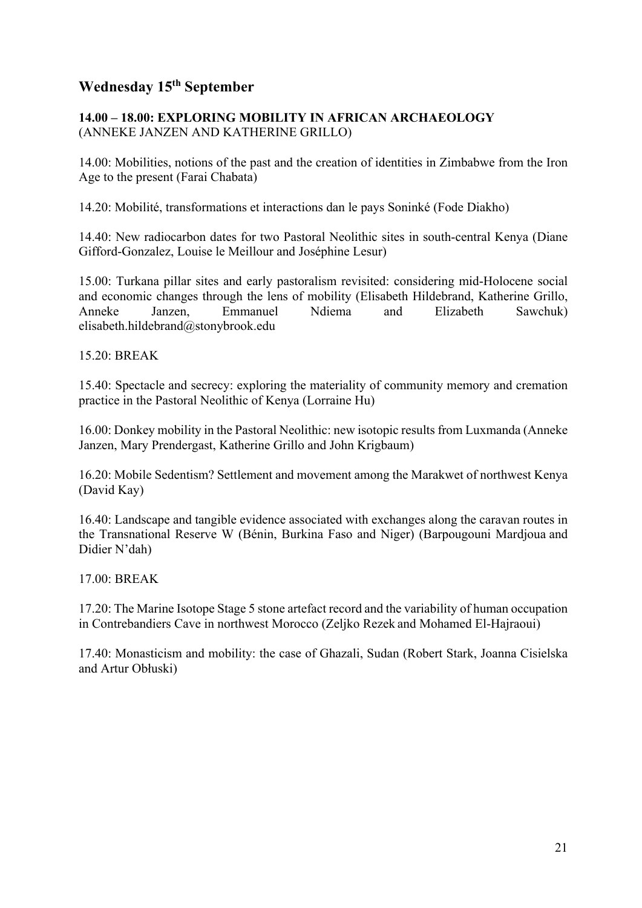# **Wednesday 15th September**

## **14.00 – 18.00: EXPLORING MOBILITY IN AFRICAN ARCHAEOLOGY** (ANNEKE JANZEN AND KATHERINE GRILLO)

14.00: Mobilities, notions of the past and the creation of identities in Zimbabwe from the Iron Age to the present (Farai Chabata)

14.20: Mobilité, transformations et interactions dan le pays Soninké (Fode Diakho)

14.40: New radiocarbon dates for two Pastoral Neolithic sites in south-central Kenya (Diane Gifford-Gonzalez, Louise le Meillour and Joséphine Lesur)

15.00: Turkana pillar sites and early pastoralism revisited: considering mid-Holocene social and economic changes through the lens of mobility (Elisabeth Hildebrand, Katherine Grillo,<br>Anneke Janzen. Emmanuel Ndiema and Elizabeth Sawchuk) Anneke Janzen, Emmanuel Ndiema and Elizabeth Sawchuk) elisabeth.hildebrand@stonybrook.edu

15.20: BREAK

15.40: Spectacle and secrecy: exploring the materiality of community memory and cremation practice in the Pastoral Neolithic of Kenya (Lorraine Hu)

16.00: Donkey mobility in the Pastoral Neolithic: new isotopic results from Luxmanda (Anneke Janzen, Mary Prendergast, Katherine Grillo and John Krigbaum)

16.20: Mobile Sedentism? Settlement and movement among the Marakwet of northwest Kenya (David Kay)

16.40: Landscape and tangible evidence associated with exchanges along the caravan routes in the Transnational Reserve W (Bénin, Burkina Faso and Niger) (Barpougouni Mardjoua and Didier N'dah)

17.00: BREAK

17.20: The Marine Isotope Stage 5 stone artefact record and the variability of human occupation in Contrebandiers Cave in northwest Morocco (Zeljko Rezek and Mohamed El-Hajraoui)

17.40: Monasticism and mobility: the case of Ghazali, Sudan (Robert Stark, Joanna Cisielska and Artur Obłuski)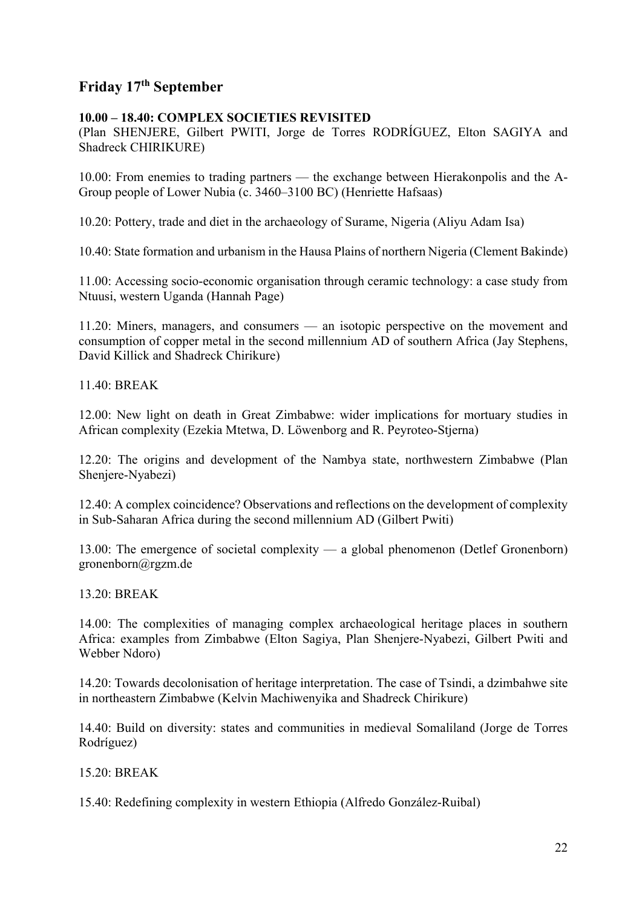# **Friday 17th September**

#### **10.00 – 18.40: COMPLEX SOCIETIES REVISITED**

(Plan SHENJERE, Gilbert PWITI, Jorge de Torres RODRÍGUEZ, Elton SAGIYA and Shadreck CHIRIKURE)

10.00: From enemies to trading partners — the exchange between Hierakonpolis and the A-Group people of Lower Nubia (c. 3460–3100 BC) (Henriette Hafsaas)

10.20: Pottery, trade and diet in the archaeology of Surame, Nigeria (Aliyu Adam Isa)

10.40: State formation and urbanism in the Hausa Plains of northern Nigeria (Clement Bakinde)

11.00: Accessing socio-economic organisation through ceramic technology: a case study from Ntuusi, western Uganda (Hannah Page)

11.20: Miners, managers, and consumers — an isotopic perspective on the movement and consumption of copper metal in the second millennium AD of southern Africa (Jay Stephens, David Killick and Shadreck Chirikure)

11.40: BREAK

12.00: New light on death in Great Zimbabwe: wider implications for mortuary studies in African complexity (Ezekia Mtetwa, D. Löwenborg and R. Peyroteo-Stjerna)

12.20: The origins and development of the Nambya state, northwestern Zimbabwe (Plan Shenjere-Nyabezi)

12.40: A complex coincidence? Observations and reflections on the development of complexity in Sub-Saharan Africa during the second millennium AD (Gilbert Pwiti)

13.00: The emergence of societal complexity — a global phenomenon (Detlef Gronenborn) gronenborn@rgzm.de

13.20: BREAK

14.00: The complexities of managing complex archaeological heritage places in southern Africa: examples from Zimbabwe (Elton Sagiya, Plan Shenjere-Nyabezi, Gilbert Pwiti and Webber Ndoro)

14.20: Towards decolonisation of heritage interpretation. The case of Tsindi, a dzimbahwe site in northeastern Zimbabwe (Kelvin Machiwenyika and Shadreck Chirikure)

14.40: Build on diversity: states and communities in medieval Somaliland (Jorge de Torres Rodríguez)

15.20: BREAK

15.40: Redefining complexity in western Ethiopia (Alfredo González-Ruibal)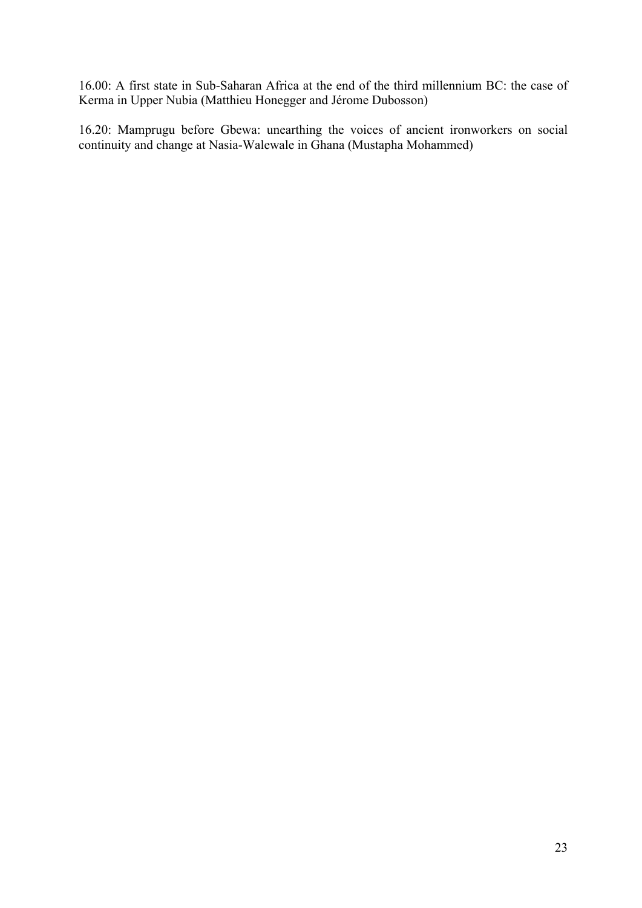16.00: A first state in Sub-Saharan Africa at the end of the third millennium BC: the case of Kerma in Upper Nubia (Matthieu Honegger and Jérome Dubosson)

16.20: Mamprugu before Gbewa: unearthing the voices of ancient ironworkers on social continuity and change at Nasia-Walewale in Ghana (Mustapha Mohammed)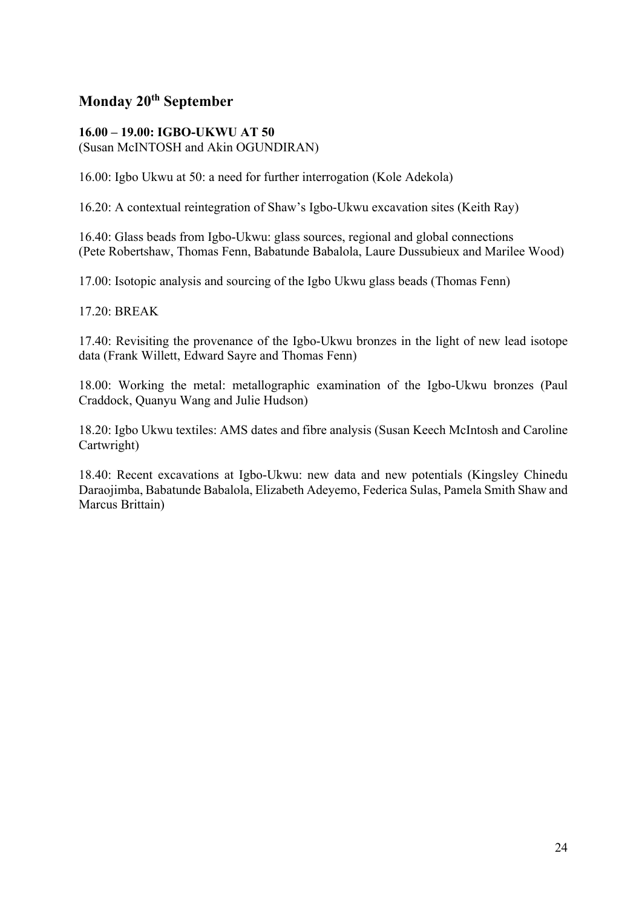# **Monday 20th September**

#### **16.00 – 19.00: IGBO-UKWU AT 50**  (Susan McINTOSH and Akin OGUNDIRAN)

16.00: Igbo Ukwu at 50: a need for further interrogation (Kole Adekola)

16.20: A contextual reintegration of Shaw's Igbo-Ukwu excavation sites (Keith Ray)

16.40: Glass beads from Igbo-Ukwu: glass sources, regional and global connections (Pete Robertshaw, Thomas Fenn, Babatunde Babalola, Laure Dussubieux and Marilee Wood)

17.00: Isotopic analysis and sourcing of the Igbo Ukwu glass beads (Thomas Fenn)

17.20: BREAK

17.40: Revisiting the provenance of the Igbo-Ukwu bronzes in the light of new lead isotope data (Frank Willett, Edward Sayre and Thomas Fenn)

18.00: Working the metal: metallographic examination of the Igbo-Ukwu bronzes (Paul Craddock, Quanyu Wang and Julie Hudson)

18.20: Igbo Ukwu textiles: AMS dates and fibre analysis (Susan Keech McIntosh and Caroline Cartwright)

18.40: Recent excavations at Igbo-Ukwu: new data and new potentials (Kingsley Chinedu Daraojimba, Babatunde Babalola, Elizabeth Adeyemo, Federica Sulas, Pamela Smith Shaw and Marcus Brittain)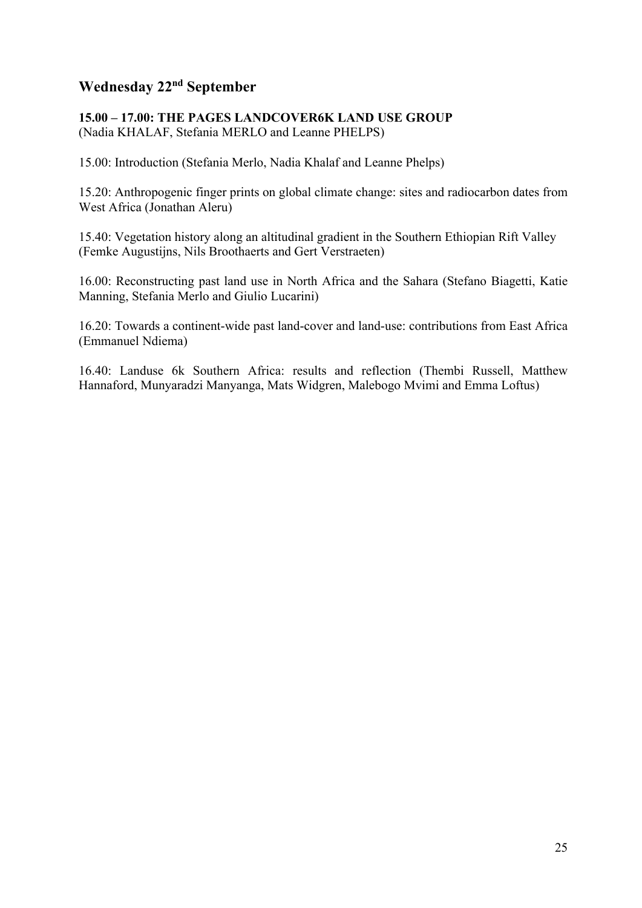# **Wednesday 22nd September**

### **15.00 – 17.00: THE PAGES LANDCOVER6K LAND USE GROUP**  (Nadia KHALAF, Stefania MERLO and Leanne PHELPS)

15.00: Introduction (Stefania Merlo, Nadia Khalaf and Leanne Phelps)

15.20: Anthropogenic finger prints on global climate change: sites and radiocarbon dates from West Africa (Jonathan Aleru)

15.40: Vegetation history along an altitudinal gradient in the Southern Ethiopian Rift Valley (Femke Augustijns, Nils Broothaerts and Gert Verstraeten)

16.00: Reconstructing past land use in North Africa and the Sahara (Stefano Biagetti, Katie Manning, Stefania Merlo and Giulio Lucarini)

16.20: Towards a continent-wide past land-cover and land-use: contributions from East Africa (Emmanuel Ndiema)

16.40: Landuse 6k Southern Africa: results and reflection (Thembi Russell, Matthew Hannaford, Munyaradzi Manyanga, Mats Widgren, Malebogo Mvimi and Emma Loftus)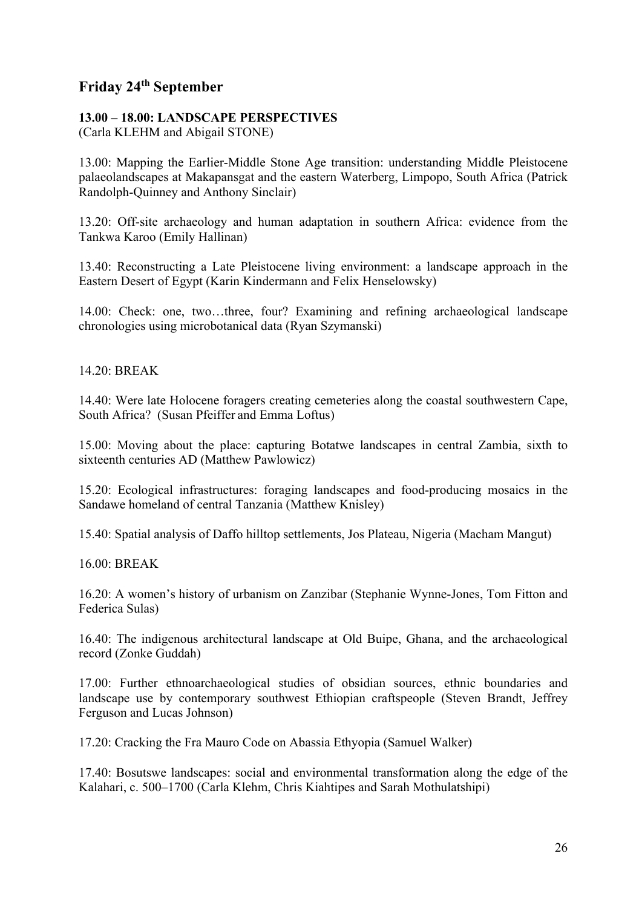# **Friday 24th September**

## **13.00 – 18.00: LANDSCAPE PERSPECTIVES**

(Carla KLEHM and Abigail STONE)

13.00: Mapping the Earlier-Middle Stone Age transition: understanding Middle Pleistocene palaeolandscapes at Makapansgat and the eastern Waterberg, Limpopo, South Africa (Patrick Randolph-Quinney and Anthony Sinclair)

13.20: Off-site archaeology and human adaptation in southern Africa: evidence from the Tankwa Karoo (Emily Hallinan)

13.40: Reconstructing a Late Pleistocene living environment: a landscape approach in the Eastern Desert of Egypt (Karin Kindermann and Felix Henselowsky)

14.00: Check: one, two…three, four? Examining and refining archaeological landscape chronologies using microbotanical data (Ryan Szymanski)

14.20: BREAK

14.40: Were late Holocene foragers creating cemeteries along the coastal southwestern Cape, South Africa? (Susan Pfeiffer and Emma Loftus)

15.00: Moving about the place: capturing Botatwe landscapes in central Zambia, sixth to sixteenth centuries AD (Matthew Pawlowicz)

15.20: Ecological infrastructures: foraging landscapes and food-producing mosaics in the Sandawe homeland of central Tanzania (Matthew Knisley)

15.40: Spatial analysis of Daffo hilltop settlements, Jos Plateau, Nigeria (Macham Mangut)

16.00: BREAK

16.20: A women's history of urbanism on Zanzibar (Stephanie Wynne-Jones, Tom Fitton and Federica Sulas)

16.40: The indigenous architectural landscape at Old Buipe, Ghana, and the archaeological record (Zonke Guddah)

17.00: Further ethnoarchaeological studies of obsidian sources, ethnic boundaries and landscape use by contemporary southwest Ethiopian craftspeople (Steven Brandt, Jeffrey Ferguson and Lucas Johnson)

17.20: Cracking the Fra Mauro Code on Abassia Ethyopia (Samuel Walker)

17.40: Bosutswe landscapes: social and environmental transformation along the edge of the Kalahari, c. 500–1700 (Carla Klehm, Chris Kiahtipes and Sarah Mothulatshipi)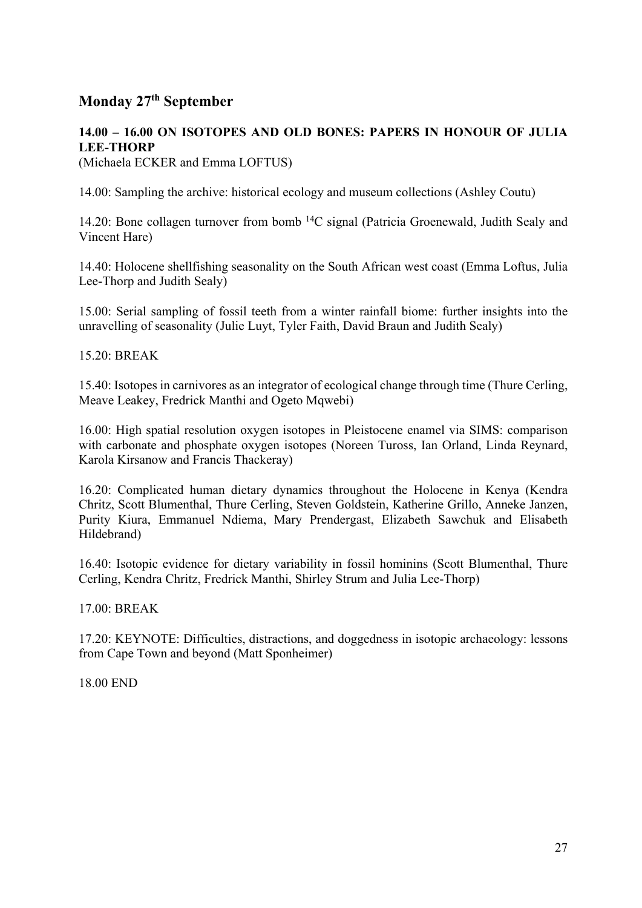# **Monday 27th September**

#### **14.00 – 16.00 ON ISOTOPES AND OLD BONES: PAPERS IN HONOUR OF JULIA LEE-THORP**  (Michaela ECKER and Emma LOFTUS)

14.00: Sampling the archive: historical ecology and museum collections (Ashley Coutu)

14.20: Bone collagen turnover from bomb 14C signal (Patricia Groenewald, Judith Sealy and Vincent Hare)

14.40: Holocene shellfishing seasonality on the South African west coast (Emma Loftus, Julia Lee-Thorp and Judith Sealy)

15.00: Serial sampling of fossil teeth from a winter rainfall biome: further insights into the unravelling of seasonality (Julie Luyt, Tyler Faith, David Braun and Judith Sealy)

15.20: BREAK

15.40: Isotopes in carnivores as an integrator of ecological change through time (Thure Cerling, Meave Leakey, Fredrick Manthi and Ogeto Mqwebi)

16.00: High spatial resolution oxygen isotopes in Pleistocene enamel via SIMS: comparison with carbonate and phosphate oxygen isotopes (Noreen Tuross, Ian Orland, Linda Reynard, Karola Kirsanow and Francis Thackeray)

16.20: Complicated human dietary dynamics throughout the Holocene in Kenya (Kendra Chritz, Scott Blumenthal, Thure Cerling, Steven Goldstein, Katherine Grillo, Anneke Janzen, Purity Kiura, Emmanuel Ndiema, Mary Prendergast, Elizabeth Sawchuk and Elisabeth Hildebrand)

16.40: Isotopic evidence for dietary variability in fossil hominins (Scott Blumenthal, Thure Cerling, Kendra Chritz, Fredrick Manthi, Shirley Strum and Julia Lee-Thorp)

17.00: BREAK

17.20: KEYNOTE: Difficulties, distractions, and doggedness in isotopic archaeology: lessons from Cape Town and beyond (Matt Sponheimer)

18.00 END